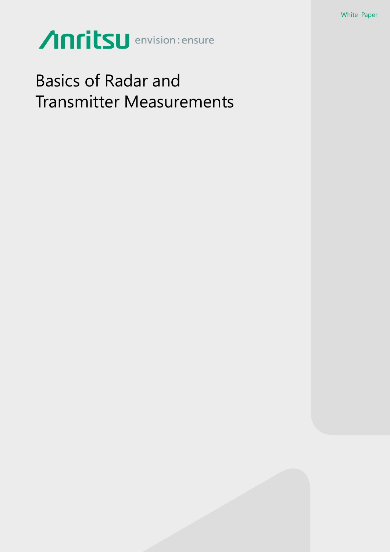# Anritsu envision: ensure

# Basics of Radar and Transmitter Measurements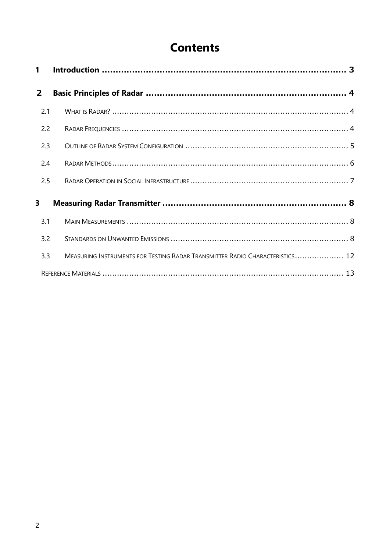# **Contents**

| 1              |                                                                              |  |
|----------------|------------------------------------------------------------------------------|--|
| $\overline{2}$ |                                                                              |  |
| 2.1            |                                                                              |  |
| 2.2            |                                                                              |  |
| 2.3            |                                                                              |  |
| 2.4            |                                                                              |  |
| 2.5            |                                                                              |  |
| 3              |                                                                              |  |
| 3.1            |                                                                              |  |
| 3.2            |                                                                              |  |
| 3.3            | MEASURING INSTRUMENTS FOR TESTING RADAR TRANSMITTER RADIO CHARACTERISTICS 12 |  |
|                |                                                                              |  |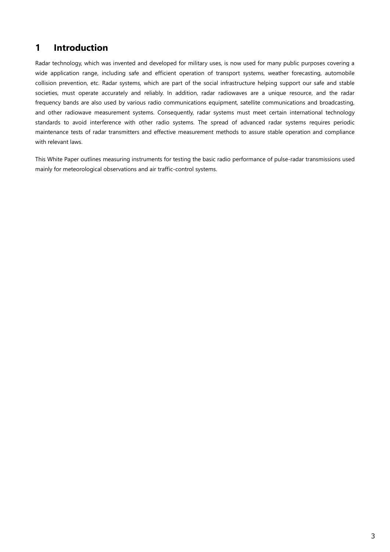# <span id="page-2-0"></span>**1 Introduction**

Radar technology, which was invented and developed for military uses, is now used for many public purposes covering a wide application range, including safe and efficient operation of transport systems, weather forecasting, automobile collision prevention, etc. Radar systems, which are part of the social infrastructure helping support our safe and stable societies, must operate accurately and reliably. In addition, radar radiowaves are a unique resource, and the radar frequency bands are also used by various radio communications equipment, satellite communications and broadcasting, and other radiowave measurement systems. Consequently, radar systems must meet certain international technology standards to avoid interference with other radio systems. The spread of advanced radar systems requires periodic maintenance tests of radar transmitters and effective measurement methods to assure stable operation and compliance with relevant laws.

This White Paper outlines measuring instruments for testing the basic radio performance of pulse-radar transmissions used mainly for meteorological observations and air traffic-control systems.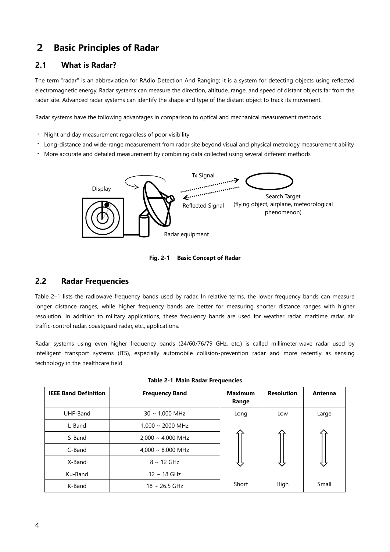# <span id="page-3-0"></span>2 **Basic Principles of Radar**

# <span id="page-3-1"></span>**2.1 What is Radar?**

The term "radar" is an abbreviation for RAdio Detection And Ranging; it is a system for detecting objects using reflected electromagnetic energy. Radar systems can measure the direction, altitude, range, and speed of distant objects far from the radar site. Advanced radar systems can identify the shape and type of the distant object to track its movement.

Radar systems have the following advantages in comparison to optical and mechanical measurement methods.

- ・ Night and day measurement regardless of poor visibility
- ・ Long-distance and wide-range measurement from radar site beyond visual and physical metrology measurement ability
- ・ More accurate and detailed measurement by combining data collected using several different methods



**Fig. 2-1 Basic Concept of Radar**

# <span id="page-3-2"></span>**2.2 Radar Frequencies**

Table 2–1 lists the radiowave frequency bands used by radar. In relative terms, the lower frequency bands can measure longer distance ranges, while higher frequency bands are better for measuring shorter distance ranges with higher resolution. In addition to military applications, these frequency bands are used for weather radar, maritime radar, air traffic-control radar, coastguard radar, etc., applications.

Radar systems using even higher frequency bands (24/60/76/79 GHz, etc.) is called millimeter-wave radar used by intelligent transport systems (ITS), especially automobile collision-prevention radar and more recently as sensing technology in the healthcare field.

| <b>IEEE Band Definition</b> | <b>Frequency Band</b>          | <b>Maximum</b><br>Range | <b>Resolution</b> | Antenna |
|-----------------------------|--------------------------------|-------------------------|-------------------|---------|
| UHF-Band                    | $30 \sim 1,000 \text{ MHz}$    | Long                    | Low               | Large   |
| L-Band                      | $1,000 \sim 2000 \text{ MHz}$  |                         |                   |         |
| S-Band                      | $2,000 \sim 4,000 \text{ MHz}$ |                         |                   |         |
| C-Band                      | $4,000 \sim 8,000 \text{ MHz}$ |                         |                   |         |
| X-Band                      | $8 \sim 12$ GHz                |                         |                   |         |
| Ku-Band                     | $12 \sim 18$ GHz               |                         |                   |         |
| K-Band                      | $18 \sim 26.5$ GHz             | Short                   | High              | Small   |

|  |  | Table 2-1 Main Radar Frequencies |
|--|--|----------------------------------|
|  |  |                                  |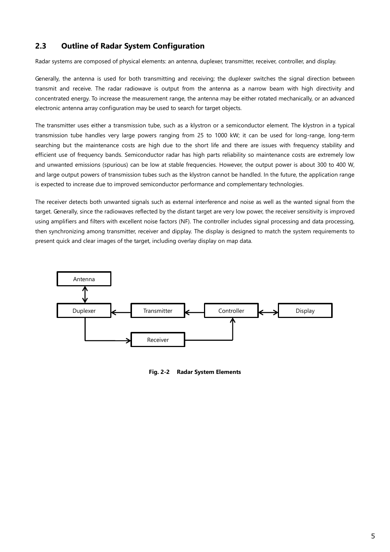# <span id="page-4-0"></span>**2.3 Outline of Radar System Configuration**

Radar systems are composed of physical elements: an antenna, duplexer, transmitter, receiver, controller, and display.

Generally, the antenna is used for both transmitting and receiving; the duplexer switches the signal direction between transmit and receive. The radar radiowave is output from the antenna as a narrow beam with high directivity and concentrated energy. To increase the measurement range, the antenna may be either rotated mechanically, or an advanced electronic antenna array configuration may be used to search for target objects.

The transmitter uses either a transmission tube, such as a klystron or a semiconductor element. The klystron in a typical transmission tube handles very large powers ranging from 25 to 1000 kW; it can be used for long-range, long-term searching but the maintenance costs are high due to the short life and there are issues with frequency stability and efficient use of frequency bands. Semiconductor radar has high parts reliability so maintenance costs are extremely low and unwanted emissions (spurious) can be low at stable frequencies. However, the output power is about 300 to 400 W, and large output powers of transmission tubes such as the klystron cannot be handled. In the future, the application range is expected to increase due to improved semiconductor performance and complementary technologies.

The receiver detects both unwanted signals such as external interference and noise as well as the wanted signal from the target. Generally, since the radiowaves reflected by the distant target are very low power, the receiver sensitivity is improved using amplifiers and filters with excellent noise factors (NF). The controller includes signal processing and data processing, then synchronizing among transmitter, receiver and dipplay. The display is designed to match the system requirements to present quick and clear images of the target, including overlay display on map data.



**Fig. 2-2 Radar System Elements**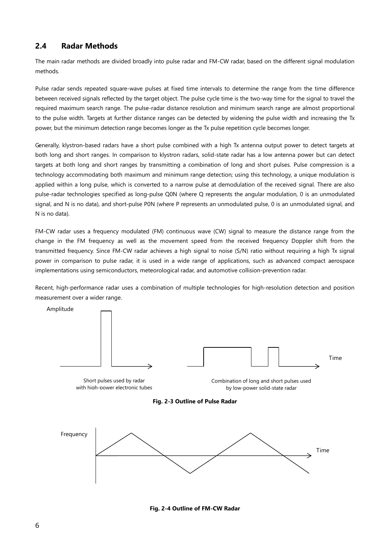# <span id="page-5-0"></span>**2.4 Radar Methods**

The main radar methods are divided broadly into pulse radar and FM-CW radar, based on the different signal modulation methods.

Pulse radar sends repeated square-wave pulses at fixed time intervals to determine the range from the time difference between received signals reflected by the target object. The pulse cycle time is the two-way time for the signal to travel the required maximum search range. The pulse-radar distance resolution and minimum search range are almost proportional to the pulse width. Targets at further distance ranges can be detected by widening the pulse width and increasing the Tx power, but the minimum detection range becomes longer as the Tx pulse repetition cycle becomes longer.

Generally, klystron-based radars have a short pulse combined with a high Tx antenna output power to detect targets at both long and short ranges. In comparison to klystron radars, solid-state radar has a low antenna power but can detect targets at both long and short ranges by transmitting a combination of long and short pulses. Pulse compression is a technology accommodating both maximum and minimum range detection; using this technology, a unique modulation is applied within a long pulse, which is converted to a narrow pulse at demodulation of the received signal. There are also pulse-radar technologies specified as long-pulse Q0N (where Q represents the angular modulation, 0 is an unmodulated signal, and N is no data), and short-pulse P0N (where P represents an unmodulated pulse, 0 is an unmodulated signal, and N is no data).

FM-CW radar uses a frequency modulated (FM) continuous wave (CW) signal to measure the distance range from the change in the FM frequency as well as the movement speed from the received frequency Doppler shift from the transmitted frequency. Since FM-CW radar achieves a high signal to noise (S/N) ratio without requiring a high Tx signal power in comparison to pulse radar, it is used in a wide range of applications, such as advanced compact aerospace implementations using semiconductors, meteorological radar, and automotive collision-prevention radar.

Recent, high-performance radar uses a combination of multiple technologies for high-resolution detection and position measurement over a wider range.



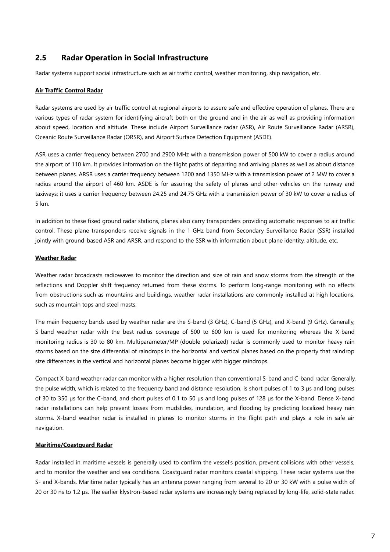# <span id="page-6-0"></span>**2.5 Radar Operation in Social Infrastructure**

Radar systems support social infrastructure such as air traffic control, weather monitoring, ship navigation, etc.

# **Air Traffic Control Radar**

Radar systems are used by air traffic control at regional airports to assure safe and effective operation of planes. There are various types of radar system for identifying aircraft both on the ground and in the air as well as providing information about speed, location and altitude. These include Airport Surveillance radar (ASR), Air Route Surveillance Radar (ARSR), Oceanic Route Surveillance Radar (ORSR), and Airport Surface Detection Equipment (ASDE).

ASR uses a carrier frequency between 2700 and 2900 MHz with a transmission power of 500 kW to cover a radius around the airport of 110 km. It provides information on the flight paths of departing and arriving planes as well as about distance between planes. ARSR uses a carrier frequency between 1200 and 1350 MHz with a transmission power of 2 MW to cover a radius around the airport of 460 km. ASDE is for assuring the safety of planes and other vehicles on the runway and taxiways; it uses a carrier frequency between 24.25 and 24.75 GHz with a transmission power of 30 kW to cover a radius of 5 km.

In addition to these fixed ground radar stations, planes also carry transponders providing automatic responses to air traffic control. These plane transponders receive signals in the 1-GHz band from Secondary Surveillance Radar (SSR) installed jointly with ground-based ASR and ARSR, and respond to the SSR with information about plane identity, altitude, etc.

# **Weather Radar**

Weather radar broadcasts radiowaves to monitor the direction and size of rain and snow storms from the strength of the reflections and Doppler shift frequency returned from these storms. To perform long-range monitoring with no effects from obstructions such as mountains and buildings, weather radar installations are commonly installed at high locations, such as mountain tops and steel masts.

The main frequency bands used by weather radar are the S-band (3 GHz), C-band (5 GHz), and X-band (9 GHz). Generally, S-band weather radar with the best radius coverage of 500 to 600 km is used for monitoring whereas the X-band monitoring radius is 30 to 80 km. Multiparameter/MP (double polarized) radar is commonly used to monitor heavy rain storms based on the size differential of raindrops in the horizontal and vertical planes based on the property that raindrop size differences in the vertical and horizontal planes become bigger with bigger raindrops.

Compact X-band weather radar can monitor with a higher resolution than conventional S-band and C-band radar. Generally, the pulse width, which is related to the frequency band and distance resolution, is short pulses of 1 to 3 µs and long pulses of 30 to 350 µs for the C-band, and short pulses of 0.1 to 50 µs and long pulses of 128 µs for the X-band. Dense X-band radar installations can help prevent losses from mudslides, inundation, and flooding by predicting localized heavy rain storms. X-band weather radar is installed in planes to monitor storms in the flight path and plays a role in safe air navigation.

#### **Maritime/Coastguard Radar**

Radar installed in maritime vessels is generally used to confirm the vessel's position, prevent collisions with other vessels, and to monitor the weather and sea conditions. Coastguard radar monitors coastal shipping. These radar systems use the S- and X-bands. Maritime radar typically has an antenna power ranging from several to 20 or 30 kW with a pulse width of 20 or 30 ns to 1.2 µs. The earlier klystron-based radar systems are increasingly being replaced by long-life, solid-state radar.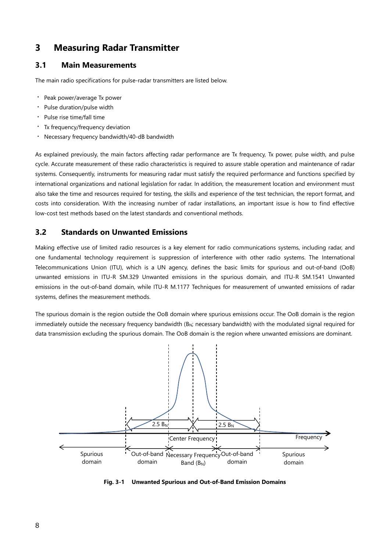# <span id="page-7-0"></span>**3 Measuring Radar Transmitter**

# <span id="page-7-1"></span>**3.1 Main Measurements**

The main radio specifications for pulse-radar transmitters are listed below.

- ・ Peak power/average Tx power
- ・ Pulse duration/pulse width
- ・ Pulse rise time/fall time
- ・ Tx frequency/frequency deviation
- Necessary frequency bandwidth/40-dB bandwidth

As explained previously, the main factors affecting radar performance are Tx frequency, Tx power, pulse width, and pulse cycle. Accurate measurement of these radio characteristics is required to assure stable operation and maintenance of radar systems. Consequently, instruments for measuring radar must satisfy the required performance and functions specified by international organizations and national legislation for radar. In addition, the measurement location and environment must also take the time and resources required for testing, the skills and experience of the test technician, the report format, and costs into consideration. With the increasing number of radar installations, an important issue is how to find effective low-cost test methods based on the latest standards and conventional methods.

# <span id="page-7-2"></span>**3.2 Standards on Unwanted Emissions**

Making effective use of limited radio resources is a key element for radio communications systems, including radar, and one fundamental technology requirement is suppression of interference with other radio systems. The International Telecommunications Union (ITU), which is a UN agency, defines the basic limits for spurious and out-of-band (OoB) unwanted emissions in ITU-R SM.329 Unwanted emissions in the spurious domain, and ITU-R SM.1541 Unwanted emissions in the out-of-band domain, while ITU-R M.1177 Techniques for measurement of unwanted emissions of radar systems, defines the measurement methods.

The spurious domain is the region outside the OoB domain where spurious emissions occur. The OoB domain is the region immediately outside the necessary frequency bandwidth ( $B_N$ ; necessary bandwidth) with the modulated signal required for data transmission excluding the spurious domain. The OoB domain is the region where unwanted emissions are dominant.



**Fig. 3-1 Unwanted Spurious and Out-of-Band Emission Domains**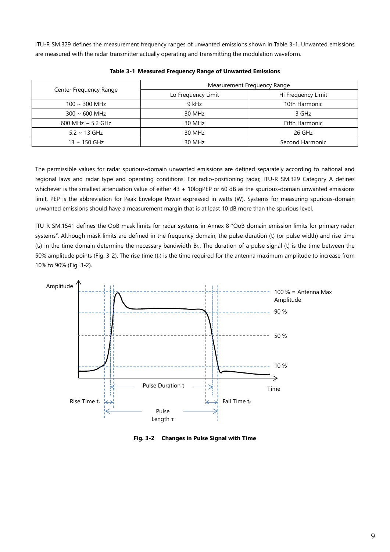ITU-R SM.329 defines the measurement frequency ranges of unwanted emissions shown in Table 3-1. Unwanted emissions are measured with the radar transmitter actually operating and transmitting the modulation waveform.

|                            | Measurement Frequency Range |                    |  |  |
|----------------------------|-----------------------------|--------------------|--|--|
| Center Frequency Range     | Lo Frequency Limit          | Hi Frequency Limit |  |  |
| $100 \sim 300$ MHz         | 9 kHz                       | 10th Harmonic      |  |  |
| $300 \sim 600 \text{ MHz}$ | 30 MHz                      | 3 GHz              |  |  |
| 600 MHz $\sim$ 5.2 GHz     | 30 MHz                      | Fifth Harmonic     |  |  |
| $5.2 \sim 13$ GHz          | 30 MHz                      | 26 GHz             |  |  |
| $13 \sim 150$ GHz          | 30 MHz                      | Second Harmonic    |  |  |

**Table 3-1 Measured Frequency Range of Unwanted Emissions**

The permissible values for radar spurious-domain unwanted emissions are defined separately according to national and regional laws and radar type and operating conditions. For radio-positioning radar, ITU-R SM.329 Category A defines whichever is the smallest attenuation value of either 43 + 10logPEP or 60 dB as the spurious-domain unwanted emissions limit. PEP is the abbreviation for Peak Envelope Power expressed in watts (W). Systems for measuring spurious-domain unwanted emissions should have a measurement margin that is at least 10 dB more than the spurious level.

ITU-R SM.1541 defines the OoB mask limits for radar systems in Annex 8 "OoB domain emission limits for primary radar systems". Although mask limits are defined in the frequency domain, the pulse duration (t) (or pulse width) and rise time  $(t<sub>r</sub>)$  in the time domain determine the necessary bandwidth B<sub>N</sub>. The duration of a pulse signal (t) is the time between the 50% amplitude points (Fig. 3-2). The rise time  $(t_0)$  is the time required for the antenna maximum amplitude to increase from 10% to 90% (Fig. 3-2).



**Fig. 3-2 Changes in Pulse Signal with Time**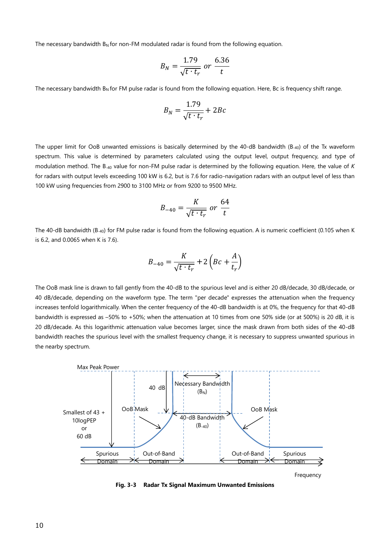The necessary bandwidth  $B_N$  for non-FM modulated radar is found from the following equation.

$$
B_N = \frac{1.79}{\sqrt{t \cdot t_r}} \text{ or } \frac{6.36}{t}
$$

The necessary bandwidth  $B_N$  for FM pulse radar is found from the following equation. Here, Bc is frequency shift range.

$$
B_N = \frac{1.79}{\sqrt{t \cdot t_r}} + 2Bc
$$

The upper limit for OoB unwanted emissions is basically determined by the 40-dB bandwidth (B-40) of the Tx waveform spectrum. This value is determined by parameters calculated using the output level, output frequency, and type of modulation method. The B-40 value for non-FM pulse radar is determined by the following equation. Here, the value of *K* for radars with output levels exceeding 100 kW is 6.2, but is 7.6 for radio-navigation radars with an output level of less than 100 kW using frequencies from 2900 to 3100 MHz or from 9200 to 9500 MHz.

$$
B_{-40} = \frac{K}{\sqrt{t \cdot t_r}} \text{ or } \frac{64}{t}
$$

The 40-dB bandwidth (B-40) for FM pulse radar is found from the following equation. A is numeric coefficient (0.105 when K is 6.2, and 0.0065 when K is 7.6).

$$
B_{-40} = \frac{K}{\sqrt{t \cdot t_r}} + 2\left( Bc + \frac{A}{t_r} \right)
$$

The OoB mask line is drawn to fall gently from the 40-dB to the spurious level and is either 20 dB/decade, 30 dB/decade, or 40 dB/decade, depending on the waveform type. The term "per decade" expresses the attenuation when the frequency increases tenfold logarithmically. When the center frequency of the 40-dB bandwidth is at 0%, the frequency for that 40-dB bandwidth is expressed as –50% to +50%; when the attenuation at 10 times from one 50% side (or at 500%) is 20 dB, it is 20 dB/decade. As this logarithmic attenuation value becomes larger, since the mask drawn from both sides of the 40-dB bandwidth reaches the spurious level with the smallest frequency change, it is necessary to suppress unwanted spurious in the nearby spectrum.



Frequency

**Fig. 3-3 Radar Tx Signal Maximum Unwanted Emissions**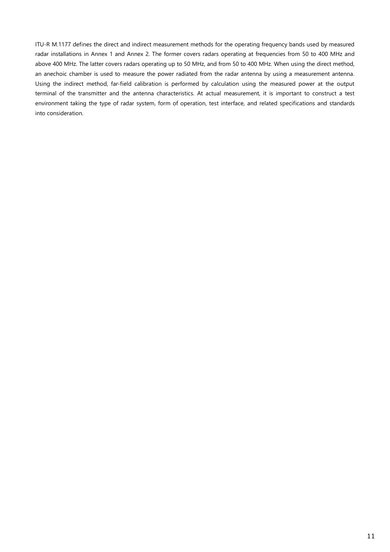ITU-R M.1177 defines the direct and indirect measurement methods for the operating frequency bands used by measured radar installations in Annex 1 and Annex 2. The former covers radars operating at frequencies from 50 to 400 MHz and above 400 MHz. The latter covers radars operating up to 50 MHz, and from 50 to 400 MHz. When using the direct method, an anechoic chamber is used to measure the power radiated from the radar antenna by using a measurement antenna. Using the indirect method, far-field calibration is performed by calculation using the measured power at the output terminal of the transmitter and the antenna characteristics. At actual measurement, it is important to construct a test environment taking the type of radar system, form of operation, test interface, and related specifications and standards into consideration.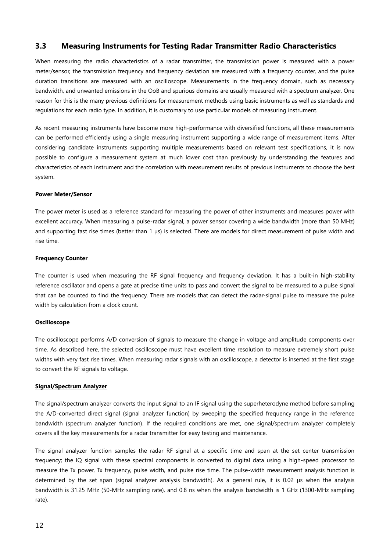# <span id="page-11-0"></span>**3.3 Measuring Instruments for Testing Radar Transmitter Radio Characteristics**

When measuring the radio characteristics of a radar transmitter, the transmission power is measured with a power meter/sensor, the transmission frequency and frequency deviation are measured with a frequency counter, and the pulse duration transitions are measured with an oscilloscope. Measurements in the frequency domain, such as necessary bandwidth, and unwanted emissions in the OoB and spurious domains are usually measured with a spectrum analyzer. One reason for this is the many previous definitions for measurement methods using basic instruments as well as standards and regulations for each radio type. In addition, it is customary to use particular models of measuring instrument.

As recent measuring instruments have become more high-performance with diversified functions, all these measurements can be performed efficiently using a single measuring instrument supporting a wide range of measurement items. After considering candidate instruments supporting multiple measurements based on relevant test specifications, it is now possible to configure a measurement system at much lower cost than previously by understanding the features and characteristics of each instrument and the correlation with measurement results of previous instruments to choose the best system.

### **Power Meter/Sensor**

The power meter is used as a reference standard for measuring the power of other instruments and measures power with excellent accuracy. When measuring a pulse-radar signal, a power sensor covering a wide bandwidth (more than 50 MHz) and supporting fast rise times (better than 1  $\mu$ s) is selected. There are models for direct measurement of pulse width and rise time.

### **Frequency Counter**

The counter is used when measuring the RF signal frequency and frequency deviation. It has a built-in high-stability reference oscillator and opens a gate at precise time units to pass and convert the signal to be measured to a pulse signal that can be counted to find the frequency. There are models that can detect the radar-signal pulse to measure the pulse width by calculation from a clock count.

#### **Oscilloscope**

The oscilloscope performs A/D conversion of signals to measure the change in voltage and amplitude components over time. As described here, the selected oscilloscope must have excellent time resolution to measure extremely short pulse widths with very fast rise times. When measuring radar signals with an oscilloscope, a detector is inserted at the first stage to convert the RF signals to voltage.

#### **Signal/Spectrum Analyzer**

The signal/spectrum analyzer converts the input signal to an IF signal using the superheterodyne method before sampling the A/D-converted direct signal (signal analyzer function) by sweeping the specified frequency range in the reference bandwidth (spectrum analyzer function). If the required conditions are met, one signal/spectrum analyzer completely covers all the key measurements for a radar transmitter for easy testing and maintenance.

The signal analyzer function samples the radar RF signal at a specific time and span at the set center transmission frequency; the IQ signal with these spectral components is converted to digital data using a high-speed processor to measure the Tx power, Tx frequency, pulse width, and pulse rise time. The pulse-width measurement analysis function is determined by the set span (signal analyzer analysis bandwidth). As a general rule, it is 0.02 µs when the analysis bandwidth is 31.25 MHz (50-MHz sampling rate), and 0.8 ns when the analysis bandwidth is 1 GHz (1300-MHz sampling rate).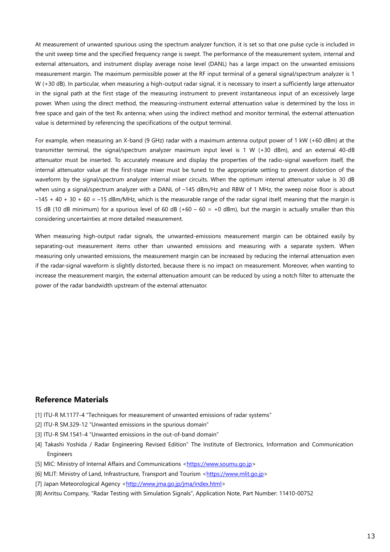At measurement of unwanted spurious using the spectrum analyzer function, it is set so that one pulse cycle is included in the unit sweep time and the specified frequency range is swept. The performance of the measurement system, internal and external attenuators, and instrument display average noise level (DANL) has a large impact on the unwanted emissions measurement margin. The maximum permissible power at the RF input terminal of a general signal/spectrum analyzer is 1 W (+30 dB). In particular, when measuring a high-output radar signal, it is necessary to insert a sufficiently large attenuator in the signal path at the first stage of the measuring instrument to prevent instantaneous input of an excessively large power. When using the direct method, the measuring-instrument external attenuation value is determined by the loss in free space and gain of the test Rx antenna; when using the indirect method and monitor terminal, the external attenuation value is determined by referencing the specifications of the output terminal.

For example, when measuring an X-band (9 GHz) radar with a maximum antenna output power of 1 kW (+60 dBm) at the transmitter terminal, the signal/spectrum analyzer maximum input level is 1 W (+30 dBm), and an external 40-dB attenuator must be inserted. To accurately measure and display the properties of the radio-signal waveform itself, the internal attenuator value at the first-stage mixer must be tuned to the appropriate setting to prevent distortion of the waveform by the signal/spectrum analyzer internal mixer circuits. When the optimum internal attenuator value is 30 dB when using a signal/spectrum analyzer with a DANL of -145 dBm/Hz and RBW of 1 MHz, the sweep noise floor is about  $-145 + 40 + 30 + 60 = -15$  dBm/MHz, which is the measurable range of the radar signal itself, meaning that the margin is 15 dB (10 dB minimum) for a spurious level of 60 dB (+60 – 60 = +0 dBm), but the margin is actually smaller than this considering uncertainties at more detailed measurement.

When measuring high-output radar signals, the unwanted-emissions measurement margin can be obtained easily by separating-out measurement items other than unwanted emissions and measuring with a separate system. When measuring only unwanted emissions, the measurement margin can be increased by reducing the internal attenuation even if the radar-signal waveform is slightly distorted, because there is no impact on measurement. Moreover, when wanting to increase the measurement margin, the external attenuation amount can be reduced by using a notch filter to attenuate the power of the radar bandwidth upstream of the external attenuator.

# <span id="page-12-0"></span>**Reference Materials**

- [1] ITU-R M.1177-4 "Techniques for measurement of unwanted emissions of radar systems"
- [2] ITU-R SM.329-12 "Unwanted emissions in the spurious domain"
- [3] ITU-R SM.1541-4 "Unwanted emissions in the out-of-band domain"
- [4] Takashi Yoshida / Radar Engineering Revised Edition" The Institute of Electronics, Information and Communication Engineers
- [5] MIC: Ministry of Internal Affairs and Communications [<https://www.soumu.go.jp>](https://www.soumu.go.jp/)
- [6] MLIT: Ministry of Land, Infrastructure, Transport and Tourism [<https://www.mlit.go.jp>](https://www.mlit.go.jp/)
- [7] Japan Meteorological Agency [<http://www.jma.go.jp/jma/index.html>](http://www.jma.go.jp/jma/index.html)
- [8] Anritsu Company, "Radar Testing with Simulation Signals", Application Note, Part Number: 11410-00752